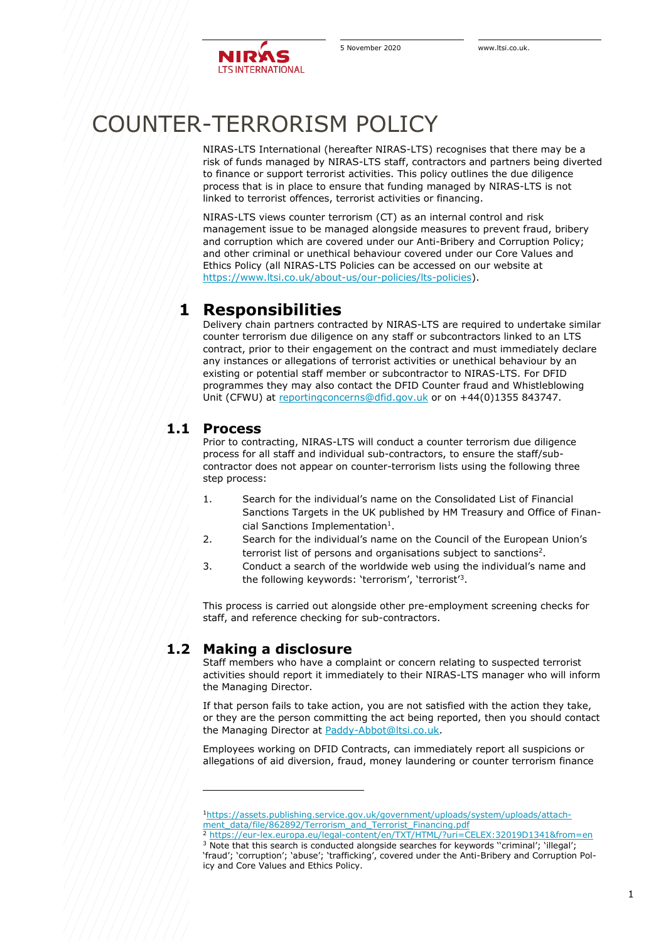

## COUNTER-TERRORISM POLICY

NIRAS-LTS International (hereafter NIRAS-LTS) recognises that there may be a risk of funds managed by NIRAS-LTS staff, contractors and partners being diverted to finance or support terrorist activities. This policy outlines the due diligence process that is in place to ensure that funding managed by NIRAS-LTS is not linked to terrorist offences, terrorist activities or financing.

NIRAS-LTS views counter terrorism (CT) as an internal control and risk management issue to be managed alongside measures to prevent fraud, bribery and corruption which are covered under our Anti-Bribery and Corruption Policy; and other criminal or unethical behaviour covered under our Core Values and Ethics Policy (all NIRAS-LTS Policies can be accessed on our website at [https://www.ltsi.co.uk/about-us/our-policies/lts-policies\)](https://www.ltsi.co.uk/about-us/our-policies/lts-policies).

## **1 Responsibilities**

Delivery chain partners contracted by NIRAS-LTS are required to undertake similar counter terrorism due diligence on any staff or subcontractors linked to an LTS contract, prior to their engagement on the contract and must immediately declare any instances or allegations of terrorist activities or unethical behaviour by an existing or potential staff member or subcontractor to NIRAS-LTS. For DFID programmes they may also contact the DFID Counter fraud and Whistleblowing Unit (CFWU) at [reportingconcerns@dfid.gov.uk](mailto:reportingconcerns@dfid.gov.uk) or on +44(0)1355 843747.

## **1.1 Process**

Prior to contracting, NIRAS-LTS will conduct a counter terrorism due diligence process for all staff and individual sub-contractors, to ensure the staff/subcontractor does not appear on counter-terrorism lists using the following three step process:

- 1. Search for the individual's name on the Consolidated List of Financial Sanctions Targets in the UK published by HM Treasury and Office of Financial Sanctions Implementation<sup>1</sup>.
- 2. Search for the individual's name on the Council of the European Union's terrorist list of persons and organisations subject to sanctions<sup>2</sup>.
- 3. Conduct a search of the worldwide web using the individual's name and the following keywords: 'terrorism', 'terrorist'<sup>3</sup> .

This process is carried out alongside other pre-employment screening checks for staff, and reference checking for sub-contractors.

## **1.2 Making a disclosure**

Staff members who have a complaint or concern relating to suspected terrorist activities should report it immediately to their NIRAS-LTS manager who will inform the Managing Director.

If that person fails to take action, you are not satisfied with the action they take, or they are the person committing the act being reported, then you should contact the Managing Director at [Paddy-Abbot@ltsi.co.uk.](mailto:Paddy-Abbot@ltsi.co.uk)

Employees working on DFID Contracts, can immediately report all suspicions or allegations of aid diversion, fraud, money laundering or counter terrorism finance

<sup>1</sup>[https://assets.publishing.service.gov.uk/government/uploads/system/uploads/attach](https://assets.publishing.service.gov.uk/government/uploads/system/uploads/attachment_data/file/862892/Terrorism_and_Terrorist_Financing.pdf)[ment\\_data/file/862892/Terrorism\\_and\\_Terrorist\\_Financing.pdf](https://assets.publishing.service.gov.uk/government/uploads/system/uploads/attachment_data/file/862892/Terrorism_and_Terrorist_Financing.pdf)

<sup>2</sup> <https://eur-lex.europa.eu/legal-content/en/TXT/HTML/?uri=CELEX:32019D1341&from=en>

<sup>&</sup>lt;sup>3</sup> Note that this search is conducted alongside searches for keywords "criminal'; 'illegal'; 'fraud'; 'corruption'; 'abuse'; 'trafficking', covered under the Anti-Bribery and Corruption Policy and Core Values and Ethics Policy.